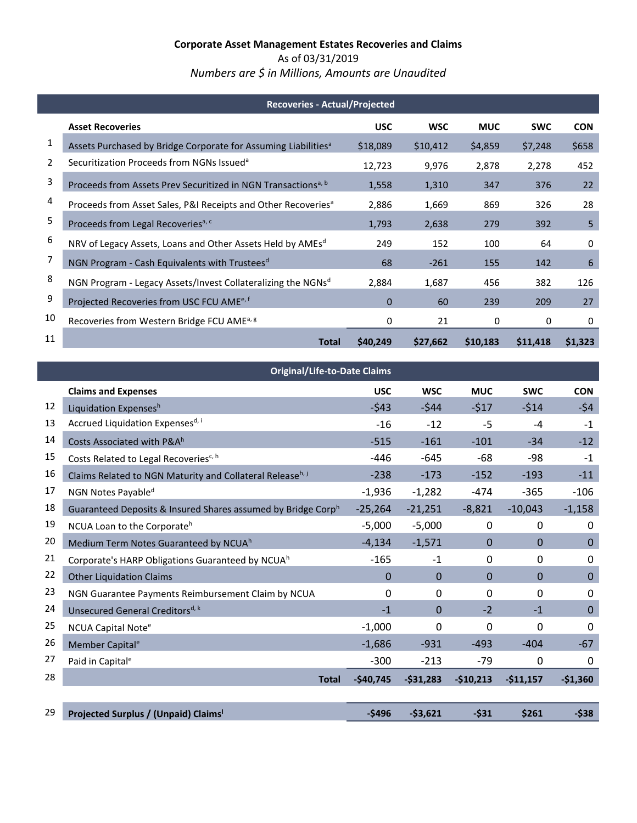### **Corporate Asset Management Estates Recoveries and Claims** As of 03/31/2019 *Numbers are \$ in Millions, Amounts are Unaudited*

|    | <b>Recoveries - Actual/Projected</b>                                       |             |            |            |            |            |  |  |
|----|----------------------------------------------------------------------------|-------------|------------|------------|------------|------------|--|--|
|    | <b>Asset Recoveries</b>                                                    | <b>USC</b>  | <b>WSC</b> | <b>MUC</b> | <b>SWC</b> | <b>CON</b> |  |  |
| 1  | Assets Purchased by Bridge Corporate for Assuming Liabilities <sup>a</sup> | \$18,089    | \$10,412   | \$4,859    | \$7,248    | \$658      |  |  |
| 2  | Securitization Proceeds from NGNs Issued <sup>a</sup>                      | 12,723      | 9,976      | 2,878      | 2,278      | 452        |  |  |
| 3  | Proceeds from Assets Prev Securitized in NGN Transactions <sup>a, b</sup>  | 1,558       | 1,310      | 347        | 376        | 22         |  |  |
| 4  | Proceeds from Asset Sales, P&I Receipts and Other Recoveries <sup>a</sup>  | 2,886       | 1,669      | 869        | 326        | 28         |  |  |
| 5  | Proceeds from Legal Recoveries <sup>a, c</sup>                             | 1,793       | 2,638      | 279        | 392        | 5          |  |  |
| 6  | NRV of Legacy Assets, Loans and Other Assets Held by AMEs <sup>d</sup>     | 249         | 152        | 100        | 64         | 0          |  |  |
| 7  | NGN Program - Cash Equivalents with Trustees <sup>d</sup>                  | 68          | $-261$     | 155        | 142        | 6          |  |  |
| 8  | NGN Program - Legacy Assets/Invest Collateralizing the NGNsd               | 2,884       | 1,687      | 456        | 382        | 126        |  |  |
| 9  | Projected Recoveries from USC FCU AME <sup>e, f</sup>                      | $\mathbf 0$ | 60         | 239        | 209        | 27         |  |  |
| 10 | Recoveries from Western Bridge FCU AME <sup>a, g</sup>                     | 0           | 21         | 0          | 0          | 0          |  |  |
| 11 | Total                                                                      | \$40,249    | \$27,662   | \$10,183   | \$11,418   | \$1,323    |  |  |

<span id="page-0-0"></span>

|    | <b>Original/Life-to-Date Claims</b>                          |            |            |              |             |             |  |  |  |  |
|----|--------------------------------------------------------------|------------|------------|--------------|-------------|-------------|--|--|--|--|
|    | <b>Claims and Expenses</b>                                   | <b>USC</b> | <b>WSC</b> | <b>MUC</b>   | <b>SWC</b>  | <b>CON</b>  |  |  |  |  |
| 12 | Liquidation Expensesh                                        | $-543$     | $-544$     | $-517$       | $-514$      | $-54$       |  |  |  |  |
| 13 | Accrued Liquidation Expensesd, i                             | $-16$      | $-12$      | $-5$         | $-4$        | $-1$        |  |  |  |  |
| 14 | Costs Associated with P&Ah                                   | $-515$     | $-161$     | $-101$       | $-34$       | $-12$       |  |  |  |  |
| 15 | Costs Related to Legal Recoveries <sup>c, h</sup>            | $-446$     | $-645$     | $-68$        | $-98$       | $-1$        |  |  |  |  |
| 16 | Claims Related to NGN Maturity and Collateral Releaseh, j    | $-238$     | $-173$     | $-152$       | $-193$      | $-11$       |  |  |  |  |
| 17 | NGN Notes Payable <sup>d</sup>                               | $-1,936$   | $-1,282$   | $-474$       | $-365$      | $-106$      |  |  |  |  |
| 18 | Guaranteed Deposits & Insured Shares assumed by Bridge Corph | $-25,264$  | $-21,251$  | $-8,821$     | $-10,043$   | $-1,158$    |  |  |  |  |
| 19 | NCUA Loan to the Corporate <sup>h</sup>                      | $-5,000$   | $-5,000$   | $\mathbf 0$  | $\mathbf 0$ | 0           |  |  |  |  |
| 20 | Medium Term Notes Guaranteed by NCUA <sup>h</sup>            | $-4,134$   | $-1,571$   | $\Omega$     | $\Omega$    | $\mathbf 0$ |  |  |  |  |
| 21 | Corporate's HARP Obligations Guaranteed by NCUA <sup>h</sup> | $-165$     | $-1$       | 0            | 0           | 0           |  |  |  |  |
| 22 | <b>Other Liquidation Claims</b>                              | $\Omega$   | 0          | $\Omega$     | $\Omega$    | $\mathbf 0$ |  |  |  |  |
| 23 | NGN Guarantee Payments Reimbursement Claim by NCUA           | 0          | 0          | $\mathbf{0}$ | 0           | 0           |  |  |  |  |
| 24 | Unsecured General Creditors <sup>d, k</sup>                  | $-1$       | 0          | $-2$         | $-1$        | $\mathbf 0$ |  |  |  |  |
| 25 | NCUA Capital Note <sup>e</sup>                               | $-1,000$   | 0          | 0            | 0           | 0           |  |  |  |  |
| 26 | Member Capital <sup>e</sup>                                  | $-1,686$   | $-931$     | -493         | $-404$      | $-67$       |  |  |  |  |
| 27 | Paid in Capital <sup>e</sup>                                 | $-300$     | $-213$     | $-79$        | 0           | 0           |  |  |  |  |
| 28 | <b>Total</b>                                                 | $-$40,745$ | $-531,283$ | $-$10,213$   | $-$11,157$  | $-$1,360$   |  |  |  |  |
|    |                                                              |            |            |              |             |             |  |  |  |  |
| 29 | Projected Surplus / (Unpaid) Claims <sup>1</sup>             | $-$ \$496  | $-53,621$  | $-531$       | \$261       | $-538$      |  |  |  |  |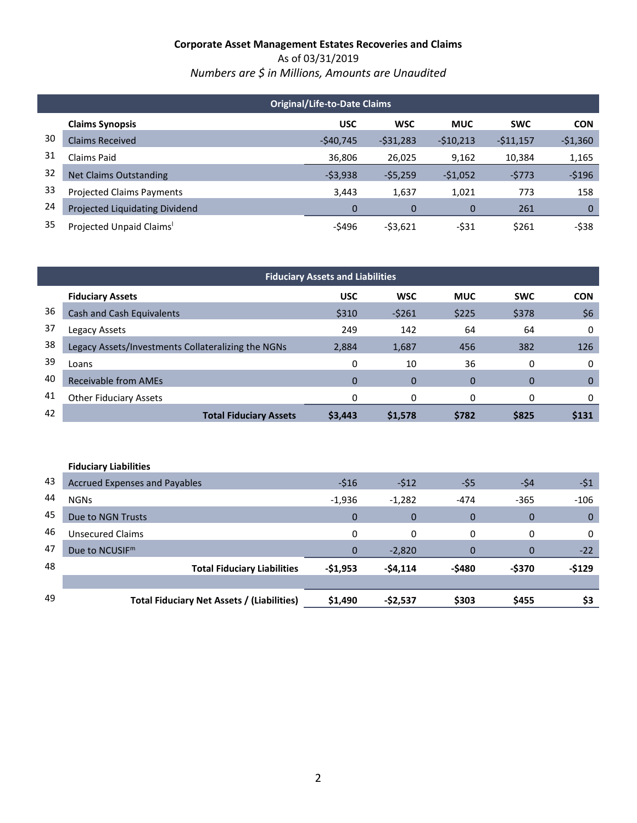As of 03/31/2019 *Numbers are \$ in Millions, Amounts are Unaudited* 

|    | <b>Original/Life-to-Date Claims</b>   |             |            |            |            |            |  |  |
|----|---------------------------------------|-------------|------------|------------|------------|------------|--|--|
|    | <b>Claims Synopsis</b>                | <b>USC</b>  | <b>WSC</b> | <b>MUC</b> | <b>SWC</b> | <b>CON</b> |  |  |
| 30 | <b>Claims Received</b>                | $-540,745$  | $-531,283$ | $-510,213$ | $-511,157$ | $-$1,360$  |  |  |
| 31 | Claims Paid                           | 36,806      | 26,025     | 9,162      | 10,384     | 1,165      |  |  |
| 32 | <b>Net Claims Outstanding</b>         | $-53,938$   | $-55,259$  | $-51,052$  | $-5773$    | $-5196$    |  |  |
| 33 | <b>Projected Claims Payments</b>      | 3,443       | 1,637      | 1,021      | 773        | 158        |  |  |
| 24 | <b>Projected Liquidating Dividend</b> | $\mathbf 0$ | 0          | 0          | 261        | $\Omega$   |  |  |
| 35 | Projected Unpaid Claims <sup>1</sup>  | -\$496      | $-53,621$  | $-531$     | \$261      | $-538$     |  |  |

| <b>Fiduciary Assets and Liabilities</b> |                                                    |            |            |                |              |             |  |  |
|-----------------------------------------|----------------------------------------------------|------------|------------|----------------|--------------|-------------|--|--|
|                                         | <b>Fiduciary Assets</b>                            | <b>USC</b> | <b>WSC</b> | <b>MUC</b>     | <b>SWC</b>   | <b>CON</b>  |  |  |
| 36                                      | <b>Cash and Cash Equivalents</b>                   | \$310      | $-5261$    | \$225          | \$378        | \$6         |  |  |
| 37                                      | Legacy Assets                                      | 249        | 142        | 64             | 64           | 0           |  |  |
| 38                                      | Legacy Assets/Investments Collateralizing the NGNs | 2,884      | 1,687      | 456            | 382          | 126         |  |  |
| 39                                      | Loans                                              | 0          | 10         | 36             | 0            | 0           |  |  |
| 40                                      | <b>Receivable from AMEs</b>                        | $\Omega$   | 0          | $\overline{0}$ | $\Omega$     | $\mathbf 0$ |  |  |
| 41                                      | <b>Other Fiduciary Assets</b>                      | 0          | 0          | 0              | $\mathbf{0}$ | 0           |  |  |
| 42                                      | <b>Total Fiduciary Assets</b>                      | \$3,443    | \$1,578    | \$782          | \$825        | \$131       |  |  |
|                                         |                                                    |            |            |                |              |             |  |  |

|    | <b>Fiduciary Liabilities</b>               |              |             |          |                |              |
|----|--------------------------------------------|--------------|-------------|----------|----------------|--------------|
| 43 | <b>Accrued Expenses and Payables</b>       | $-516$       | $-512$      | $-55$    | -\$4           | $-51$        |
| 44 | <b>NGNs</b>                                | $-1,936$     | $-1,282$    | $-474$   | $-365$         | $-106$       |
| 45 | Due to NGN Trusts                          | $\Omega$     | $\mathbf 0$ | 0        | $\overline{0}$ | $\mathbf{0}$ |
| 46 | <b>Unsecured Claims</b>                    | 0            | 0           | 0        | 0              | 0            |
| 47 | Due to NCUSIF <sup>m</sup>                 | $\mathbf{0}$ | $-2,820$    | $\Omega$ | $\Omega$       | $-22$        |
| 48 | <b>Total Fiduciary Liabilities</b>         | -\$1,953     | $-54,114$   | -\$480   | -\$370         | $-$129$      |
|    |                                            |              |             |          |                |              |
| 49 | Total Fiduciary Net Assets / (Liabilities) | \$1,490      | -\$2,537    | \$303    | \$455          | \$3          |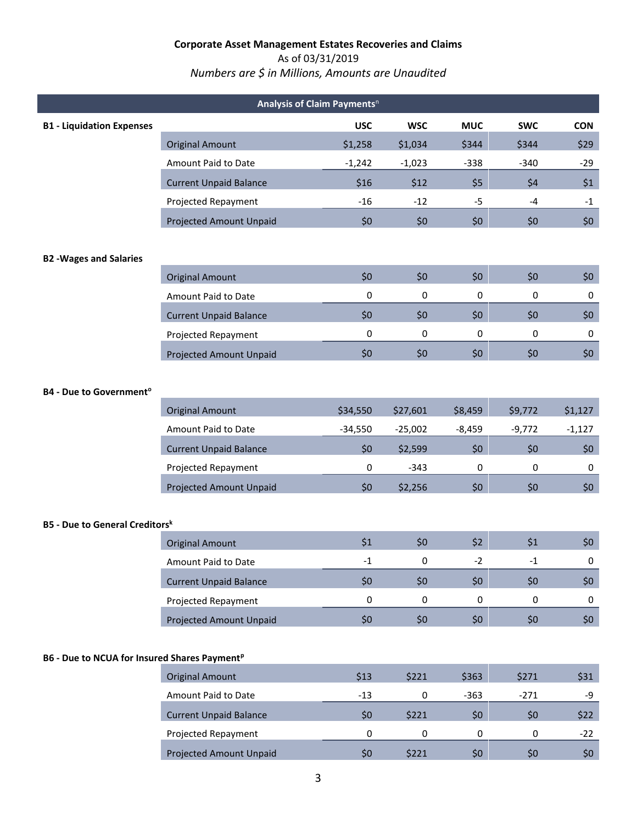## As of 03/31/2019

# *Numbers are \$ in Millions, Amounts are Unaudited*

|                                                          | Analysis of Claim Payments <sup>n</sup> |            |            |             |            |             |  |  |  |
|----------------------------------------------------------|-----------------------------------------|------------|------------|-------------|------------|-------------|--|--|--|
| <b>B1 - Liquidation Expenses</b>                         |                                         | <b>USC</b> | <b>WSC</b> | <b>MUC</b>  | <b>SWC</b> | <b>CON</b>  |  |  |  |
|                                                          | <b>Original Amount</b>                  | \$1,258    | \$1,034    | \$344       | \$344      | \$29        |  |  |  |
|                                                          | Amount Paid to Date                     | $-1,242$   | $-1,023$   | $-338$      | $-340$     | $-29$       |  |  |  |
|                                                          | <b>Current Unpaid Balance</b>           | \$16       | \$12       | \$5         | \$4        | \$1         |  |  |  |
|                                                          | Projected Repayment                     | $-16$      | $-12$      | $-5$        | $-4$       | $-1$        |  |  |  |
|                                                          | <b>Projected Amount Unpaid</b>          | \$0        | \$0        | \$0         | \$0        | \$0\$       |  |  |  |
| <b>B2 -Wages and Salaries</b>                            |                                         |            |            |             |            |             |  |  |  |
|                                                          | <b>Original Amount</b>                  | \$0        | \$0        | \$0         | \$0        | \$0\$       |  |  |  |
|                                                          | Amount Paid to Date                     | 0          | 0          | 0           | 0          | $\mathbf 0$ |  |  |  |
|                                                          | <b>Current Unpaid Balance</b>           | \$0        | \$0        | \$0         | \$0        | \$0\$       |  |  |  |
|                                                          | Projected Repayment                     | 0          | 0          | 0           | 0          | 0           |  |  |  |
|                                                          | Projected Amount Unpaid                 | \$0        | \$0        | \$0         | \$0        | \$0\$       |  |  |  |
| <b>B4 - Due to Government<sup>o</sup></b>                |                                         |            |            |             |            |             |  |  |  |
|                                                          | <b>Original Amount</b>                  | \$34,550   | \$27,601   | \$8,459     | \$9,772    | \$1,127     |  |  |  |
|                                                          | Amount Paid to Date                     | $-34,550$  | $-25,002$  | $-8,459$    | $-9,772$   | $-1,127$    |  |  |  |
|                                                          | <b>Current Unpaid Balance</b>           | \$0        | \$2,599    | \$0         | \$0        | \$0\$       |  |  |  |
|                                                          | Projected Repayment                     | 0          | $-343$     | $\mathbf 0$ | 0          | 0           |  |  |  |
|                                                          | Projected Amount Unpaid                 | \$0        | \$2,256    | \$0         | \$0        | \$0\$       |  |  |  |
| <b>B5 - Due to General Creditorsk</b>                    |                                         |            |            |             |            |             |  |  |  |
|                                                          | <b>Original Amount</b>                  | \$1        | \$0        | \$2         | \$1        | \$0\$       |  |  |  |
|                                                          | Amount Paid to Date                     | $-1$       | 0          | $-2$        | $-1$       | 0           |  |  |  |
|                                                          | <b>Current Unpaid Balance</b>           | \$0        | \$0\$      | \$0         | \$0        | \$0\$       |  |  |  |
|                                                          | Projected Repayment                     | 0          | 0          | 0           | 0          | 0           |  |  |  |
|                                                          | <b>Projected Amount Unpaid</b>          | \$0\$      | \$0\$      | \$0\$       | \$0\$      | \$0\$       |  |  |  |
| B6 - Due to NCUA for Insured Shares Payment <sup>p</sup> |                                         |            |            |             |            |             |  |  |  |
|                                                          | <b>Original Amount</b>                  | \$13       | \$221      | \$363       | \$271      | \$31        |  |  |  |
|                                                          | Amount Paid to Date                     | $-13$      | 0          | $-363$      | $-271$     | -9          |  |  |  |
|                                                          | <b>Current Unpaid Balance</b>           | \$0        | \$221      | \$0         | \$0\$      | \$22        |  |  |  |
|                                                          | Projected Repayment                     | 0          | $\pmb{0}$  | $\pmb{0}$   | 0          | $-22$       |  |  |  |
|                                                          | Projected Amount Unpaid                 | \$0        | \$221      | \$0         | \$0        | \$0\$       |  |  |  |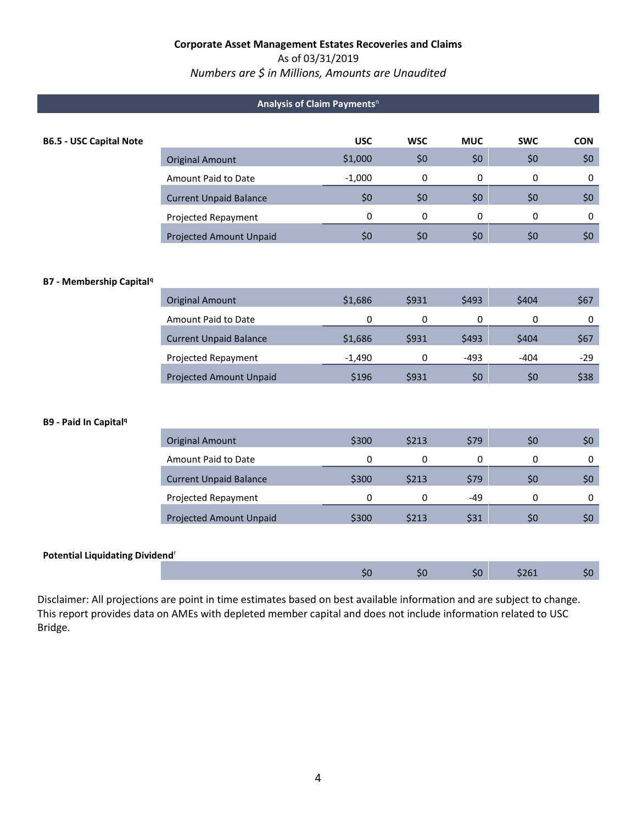#### As of 03/31/2019

### *Numbers are \$ in Millions, Amounts are Unaudited*

|                                            |                                | Analysis of Claim Payments <sup>n</sup> |            |            |              |             |
|--------------------------------------------|--------------------------------|-----------------------------------------|------------|------------|--------------|-------------|
| <b>B6.5 - USC Capital Note</b>             |                                | <b>USC</b>                              | <b>WSC</b> | <b>MUC</b> | <b>SWC</b>   | <b>CON</b>  |
|                                            | <b>Original Amount</b>         | \$1,000                                 | \$0        | \$0\$      | \$0          | \$0         |
|                                            | Amount Paid to Date            | $-1,000$                                | $\pmb{0}$  | 0          | 0            | $\mathbf 0$ |
|                                            | <b>Current Unpaid Balance</b>  | \$0                                     | \$0        | \$0\$      | \$0\$        | \$0         |
|                                            | Projected Repayment            | $\Omega$                                | $\Omega$   | $\Omega$   | $\mathbf{0}$ | 0           |
|                                            | <b>Projected Amount Unpaid</b> | \$0                                     | \$0        | \$0        | \$0          | \$0         |
|                                            |                                |                                         |            |            |              |             |
| <b>B7 - Membership Capital<sup>q</sup></b> |                                |                                         |            |            |              |             |
|                                            | <b>Original Amount</b>         | \$1,686                                 | \$931      | \$493      | \$404        | \$67        |
|                                            | Amount Paid to Date            | 0                                       | 0          | 0          | 0            | 0           |
|                                            | <b>Current Unpaid Balance</b>  | \$1,686                                 | \$931      | \$493      | \$404        | \$67        |
|                                            | Projected Repayment            | $-1,490$                                | $\Omega$   | $-493$     | $-404$       | $-29$       |
|                                            | <b>Projected Amount Unpaid</b> | \$196                                   | \$931      | \$0        | \$0          | \$38        |
|                                            |                                |                                         |            |            |              |             |
| <b>B9 - Paid In Capital<sup>q</sup></b>    |                                |                                         |            |            |              |             |
|                                            | <b>Original Amount</b>         | \$300                                   | \$213      | \$79       | \$0\$        | \$0         |
|                                            | Amount Paid to Date            | 0                                       | 0          | 0          | $\mathbf 0$  | 0           |
|                                            | <b>Current Unpaid Balance</b>  | \$300                                   | \$213      | \$79       | \$0\$        | \$0         |
|                                            | Projected Repayment            | 0                                       | 0          | -49        | $\mathbf 0$  | 0           |
|                                            | Projected Amount Unpaid        | \$300                                   | \$213      | \$31       | \$0          | \$0         |
|                                            |                                |                                         |            |            |              |             |

#### **Potential Liquidating Dividend**<sup>r</sup>

Disclaimer: All projections are point in time estimates based on best available information and are subject to change. This report provides data on AMEs with depleted member capital and does not include information related to USC Bridge.